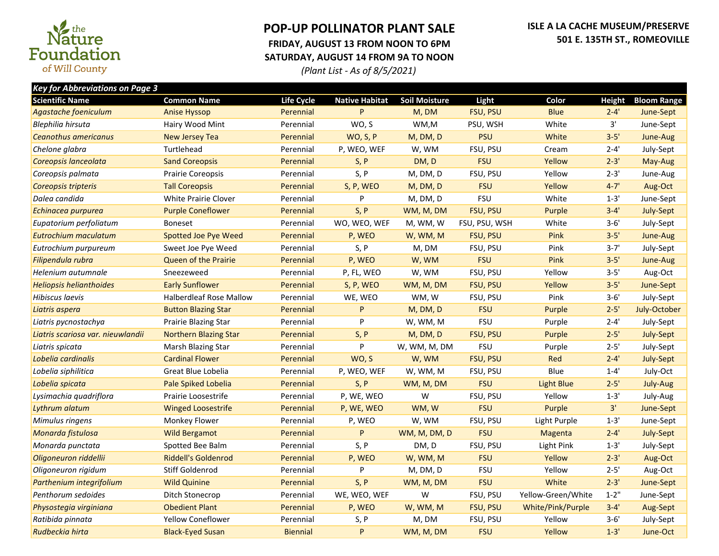

## **POP-UP POLLINATOR PLANT SALE FRIDAY, AUGUST 13 FROM NOON TO 6PM SATURDAY, AUGUST 14 FROM 9A TO NOON**

*(Plant List - As of 8/5/2021)*

| <b>Key for Abbreviations on Page 3</b> |                                |                 |                       |                      |                 |                    |          |                    |  |  |
|----------------------------------------|--------------------------------|-----------------|-----------------------|----------------------|-----------------|--------------------|----------|--------------------|--|--|
| <b>Scientific Name</b>                 | <b>Common Name</b>             | Life Cycle      | <b>Native Habitat</b> | <b>Soil Moisture</b> | Light           | Color              | Height   | <b>Bloom Range</b> |  |  |
| Agastache foeniculum                   | <b>Anise Hyssop</b>            | Perennial       | P                     | M, DM                | FSU, PSU        | <b>Blue</b>        | $2 - 4'$ | June-Sept          |  |  |
| Blephilia hirsuta                      | Hairy Wood Mint                | Perennial       | WO, S                 | WM,M                 | PSU, WSH        | White              | 3'       | June-Sept          |  |  |
| <b>Ceanothus americanus</b>            | <b>New Jersey Tea</b>          | Perennial       | <b>WO, S, P</b>       | M, DM, D             | <b>PSU</b>      | White              | $3 - 5'$ | June-Aug           |  |  |
| Chelone glabra                         | Turtlehead                     | Perennial       | P, WEO, WEF           | W, WM                | FSU, PSU        | Cream              | $2 - 4'$ | July-Sept          |  |  |
| Coreopsis lanceolata                   | <b>Sand Coreopsis</b>          | Perennial       | S, P                  | DM, D                | <b>FSU</b>      | Yellow             | $2 - 3'$ | May-Aug            |  |  |
| Coreopsis palmata                      | Prairie Coreopsis              | Perennial       | S, P                  | M, DM, D             | FSU, PSU        | Yellow             | $2 - 3'$ | June-Aug           |  |  |
| Coreopsis tripteris                    | <b>Tall Coreopsis</b>          | Perennial       | S, P, WEO             | M, DM, D             | <b>FSU</b>      | Yellow             | $4 - 7'$ | Aug-Oct            |  |  |
| Dalea candida                          | <b>White Prairie Clover</b>    | Perennial       | P                     | M, DM, D             | <b>FSU</b>      | White              | $1 - 3'$ | June-Sept          |  |  |
| Echinacea purpurea                     | <b>Purple Coneflower</b>       | Perennial       | S, P                  | WM, M, DM            | <b>FSU, PSU</b> | Purple             | $3 - 4'$ | July-Sept          |  |  |
| Eupatorium perfoliatum                 | <b>Boneset</b>                 | Perennial       | WO, WEO, WEF          | M, WM, W             | FSU, PSU, WSH   | White              | $3 - 6'$ | July-Sept          |  |  |
| Eutrochium maculatum                   | <b>Spotted Joe Pye Weed</b>    | Perennial       | P, WEO                | W, WM, M             | FSU, PSU        | Pink               | $3 - 5'$ | June-Aug           |  |  |
| Eutrochium purpureum                   | Sweet Joe Pye Weed             | Perennial       | S, P                  | M, DM                | FSU, PSU        | Pink               | $3 - 7'$ | July-Sept          |  |  |
| Filipendula rubra                      | <b>Queen of the Prairie</b>    | Perennial       | P, WEO                | W, WM                | <b>FSU</b>      | Pink               | $3 - 5'$ | June-Aug           |  |  |
| Helenium autumnale                     | Sneezeweed                     | Perennial       | P, FL, WEO            | W, WM                | FSU, PSU        | Yellow             | $3 - 5'$ | Aug-Oct            |  |  |
| <b>Heliopsis helianthoides</b>         | <b>Early Sunflower</b>         | Perennial       | S, P, WEO             | WM, M, DM            | FSU, PSU        | Yellow             | $3 - 5'$ | June-Sept          |  |  |
| Hibiscus laevis                        | <b>Halberdleaf Rose Mallow</b> | Perennial       | WE, WEO               | WM, W                | FSU, PSU        | Pink               | $3 - 6'$ | July-Sept          |  |  |
| Liatris aspera                         | <b>Button Blazing Star</b>     | Perennial       | P                     | M, DM, D             | <b>FSU</b>      | Purple             | $2 - 5'$ | July-October       |  |  |
| Liatris pycnostachya                   | Prairie Blazing Star           | Perennial       | P                     | W, WM, M             | <b>FSU</b>      | Purple             | $2 - 4'$ | July-Sept          |  |  |
| Liatris scariosa var. nieuwlandii      | <b>Northern Blazing Star</b>   | Perennial       | S, P                  | M, DM, D             | FSU, PSU        | Purple             | $2 - 5'$ | July-Sept          |  |  |
| Liatris spicata                        | Marsh Blazing Star             | Perennial       | P                     | W, WM, M, DM         | <b>FSU</b>      | Purple             | $2 - 5'$ | July-Sept          |  |  |
| Lobelia cardinalis                     | <b>Cardinal Flower</b>         | Perennial       | WO, S                 | W, WM                | FSU, PSU        | Red                | $2 - 4'$ | July-Sept          |  |  |
| Lobelia siphilitica                    | Great Blue Lobelia             | Perennial       | P, WEO, WEF           | W, WM, M             | FSU, PSU        | Blue               | $1 - 4'$ | July-Oct           |  |  |
| Lobelia spicata                        | Pale Spiked Lobelia            | Perennial       | S, P                  | WM, M, DM            | <b>FSU</b>      | <b>Light Blue</b>  | $2 - 5'$ | July-Aug           |  |  |
| Lysimachia quadriflora                 | Prairie Loosestrife            | Perennial       | P, WE, WEO            | W                    | FSU, PSU        | Yellow             | $1 - 3'$ | July-Aug           |  |  |
| Lythrum alatum                         | <b>Winged Loosestrife</b>      | Perennial       | P, WE, WEO            | WM, W                | <b>FSU</b>      | Purple             | 3'       | June-Sept          |  |  |
| Mimulus ringens                        | <b>Monkey Flower</b>           | Perennial       | P, WEO                | W, WM                | FSU, PSU        | Light Purple       | $1 - 3'$ | June-Sept          |  |  |
| Monarda fistulosa                      | <b>Wild Bergamot</b>           | Perennial       | P                     | WM, M, DM, D         | <b>FSU</b>      | Magenta            | $2 - 4'$ | July-Sept          |  |  |
| Monarda punctata                       | Spotted Bee Balm               | Perennial       | S, P                  | DM, D                | FSU, PSU        | Light Pink         | $1 - 3'$ | July-Sept          |  |  |
| Oligoneuron riddellii                  | <b>Riddell's Goldenrod</b>     | Perennial       | P, WEO                | W, WM, M             | <b>FSU</b>      | Yellow             | $2 - 3'$ | Aug-Oct            |  |  |
| Oligoneuron rigidum                    | Stiff Goldenrod                | Perennial       | P                     | M, DM, D             | <b>FSU</b>      | Yellow             | $2 - 5'$ | Aug-Oct            |  |  |
| Parthenium integrifolium               | <b>Wild Quinine</b>            | Perennial       | S, P                  | WM, M, DM            | <b>FSU</b>      | White              | $2 - 3'$ | June-Sept          |  |  |
| Penthorum sedoides                     | Ditch Stonecrop                | Perennial       | WE, WEO, WEF          | W                    | FSU, PSU        | Yellow-Green/White | $1 - 2"$ | June-Sept          |  |  |
| Physostegia virginiana                 | <b>Obedient Plant</b>          | Perennial       | P, WEO                | W, WM, M             | FSU, PSU        | White/Pink/Purple  | $3 - 4'$ | Aug-Sept           |  |  |
| Ratibida pinnata                       | Yellow Coneflower              | Perennial       | S, P                  | M, DM                | FSU, PSU        | Yellow             | $3 - 6'$ | July-Sept          |  |  |
| Rudbeckia hirta                        | <b>Black-Eyed Susan</b>        | <b>Biennial</b> | P                     | WM, M, DM            | <b>FSU</b>      | Yellow             | $1 - 3'$ | June-Oct           |  |  |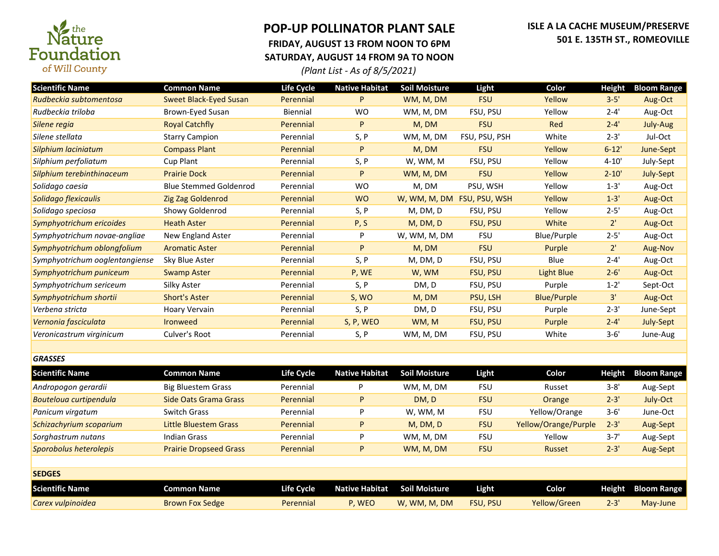

## **POP-UP POLLINATOR PLANT SALE FRIDAY, AUGUST 13 FROM NOON TO 6PM SATURDAY, AUGUST 14 FROM 9A TO NOON**

## **ISLE A LA CACHE MUSEUM/PRESERVE 501 E. 135TH ST., ROMEOVILLE**

*(Plant List - As of 8/5/2021)*

| <b>Scientific Name</b>         | <b>Common Name</b>            | Life Cycle        | <b>Native Habitat</b> | <b>Soil Moisture</b>       | Light           | Color                | <b>Height</b> | <b>Bloom Range</b> |
|--------------------------------|-------------------------------|-------------------|-----------------------|----------------------------|-----------------|----------------------|---------------|--------------------|
| Rudbeckia subtomentosa         | <b>Sweet Black-Eyed Susan</b> | Perennial         | P                     | WM, M, DM                  | <b>FSU</b>      | Yellow               | $3 - 5'$      | Aug-Oct            |
| Rudbeckia triloba              | Brown-Eyed Susan              | Biennial          | <b>WO</b>             | WM, M, DM                  | FSU, PSU        | Yellow               | $2 - 4'$      | Aug-Oct            |
| Silene regia                   | <b>Royal Catchfly</b>         | Perennial         | P                     | M, DM                      | <b>FSU</b>      | Red                  | $2 - 4'$      | July-Aug           |
| Silene stellata                | <b>Starry Campion</b>         | Perennial         | S, P                  | WM, M, DM                  | FSU, PSU, PSH   | White                | $2 - 3'$      | Jul-Oct            |
| Silphium laciniatum            | <b>Compass Plant</b>          | Perennial         | P                     | M, DM                      | <b>FSU</b>      | Yellow               | $6 - 12'$     | June-Sept          |
| Silphium perfoliatum           | Cup Plant                     | Perennial         | S, P                  | W, WM, M                   | FSU, PSU        | Yellow               | $4 - 10'$     | July-Sept          |
| Silphium terebinthinaceum      | <b>Prairie Dock</b>           | Perennial         | P                     | WM, M, DM                  | <b>FSU</b>      | Yellow               | $2 - 10'$     | July-Sept          |
| Solidago caesia                | <b>Blue Stemmed Goldenrod</b> | Perennial         | <b>WO</b>             | M, DM                      | PSU, WSH        | Yellow               | $1 - 3'$      | Aug-Oct            |
| Solidago flexicaulis           | Zig Zag Goldenrod             | Perennial         | <b>WO</b>             | W, WM, M, DM FSU, PSU, WSH |                 | Yellow               | $1 - 3'$      | Aug-Oct            |
| Solidago speciosa              | Showy Goldenrod               | Perennial         | S, P                  | M, DM, D                   | FSU, PSU        | Yellow               | $2 - 5'$      | Aug-Oct            |
| Symphyotrichum ericoides       | <b>Heath Aster</b>            | Perennial         | P, S                  | M, DM, D                   | FSU, PSU        | White                | 2'            | Aug-Oct            |
| Symphyotrichum novae-angliae   | New England Aster             | Perennial         | P                     | W, WM, M, DM               | <b>FSU</b>      | <b>Blue/Purple</b>   | $2 - 5'$      | Aug-Oct            |
| Symphyotrichum oblongfolium    | <b>Aromatic Aster</b>         | Perennial         | P                     | M, DM                      | <b>FSU</b>      | Purple               | 2'            | Aug-Nov            |
| Symphyotrichum ooglentangiense | Sky Blue Aster                | Perennial         | S, P                  | M, DM, D                   | FSU, PSU        | Blue                 | $2 - 4'$      | Aug-Oct            |
| Symphyotrichum puniceum        | <b>Swamp Aster</b>            | Perennial         | P, WE                 | W, WM                      | FSU, PSU        | <b>Light Blue</b>    | $2 - 6'$      | Aug-Oct            |
| Symphyotrichum sericeum        | Silky Aster                   | Perennial         | S, P                  | DM, D                      | FSU, PSU        | Purple               | $1 - 2'$      | Sept-Oct           |
| Symphyotrichum shortii         | <b>Short's Aster</b>          | Perennial         | S, WO                 | M, DM                      | PSU, LSH        | <b>Blue/Purple</b>   | 3'            | Aug-Oct            |
| Verbena stricta                | <b>Hoary Vervain</b>          | Perennial         | S, P                  | DM, D                      | FSU, PSU        | Purple               | $2 - 3'$      | June-Sept          |
| Vernonia fasciculata           | <b>Ironweed</b>               | Perennial         | S, P, WEO             | WM, M                      | <b>FSU, PSU</b> | Purple               | $2 - 4'$      | July-Sept          |
| Veronicastrum virginicum       | Culver's Root                 | Perennial         | S, P                  | WM, M, DM                  | FSU, PSU        | White                | $3 - 6'$      | June-Aug           |
|                                |                               |                   |                       |                            |                 |                      |               |                    |
| <b>GRASSES</b>                 |                               |                   |                       |                            |                 |                      |               |                    |
| <b>Scientific Name</b>         | <b>Common Name</b>            | <b>Life Cycle</b> | <b>Native Habitat</b> | <b>Soil Moisture</b>       | Light           | Color                | <b>Height</b> | <b>Bloom Range</b> |
| Andropogon gerardii            | <b>Big Bluestem Grass</b>     | Perennial         | P                     | WM, M, DM                  | <b>FSU</b>      | Russet               | $3 - 8'$      | Aug-Sept           |
| Bouteloua curtipendula         | <b>Side Oats Grama Grass</b>  | Perennial         | P                     | DM, D                      | <b>FSU</b>      | Orange               | $2 - 3'$      | July-Oct           |
| Panicum virgatum               | <b>Switch Grass</b>           | Perennial         | P                     | W, WM, M                   | <b>FSU</b>      | Yellow/Orange        | $3 - 6'$      | June-Oct           |
| Schizachyrium scoparium        | <b>Little Bluestem Grass</b>  | Perennial         | P                     | M, DM, D                   | <b>FSU</b>      | Yellow/Orange/Purple | $2 - 3'$      | Aug-Sept           |
| Sorghastrum nutans             | <b>Indian Grass</b>           | Perennial         | P                     | WM, M, DM                  | <b>FSU</b>      | Yellow               | $3 - 7'$      | Aug-Sept           |
| Sporobolus heterolepis         | <b>Prairie Dropseed Grass</b> | Perennial         | P                     | WM, M, DM                  | <b>FSU</b>      | Russet               | $2 - 3'$      | Aug-Sept           |
|                                |                               |                   |                       |                            |                 |                      |               |                    |
| <b>SEDGES</b>                  |                               |                   |                       |                            |                 |                      |               |                    |
| <b>Scientific Name</b>         | <b>Common Name</b>            | <b>Life Cycle</b> | <b>Native Habitat</b> | <b>Soil Moisture</b>       | Light           | Color                | <b>Height</b> | <b>Bloom Range</b> |
| Carex vulpinoidea              | <b>Brown Fox Sedge</b>        | Perennial         | P, WEO                | W, WM, M, DM               | <b>FSU, PSU</b> | Yellow/Green         | $2 - 3'$      | May-June           |
|                                |                               |                   |                       |                            |                 |                      |               |                    |